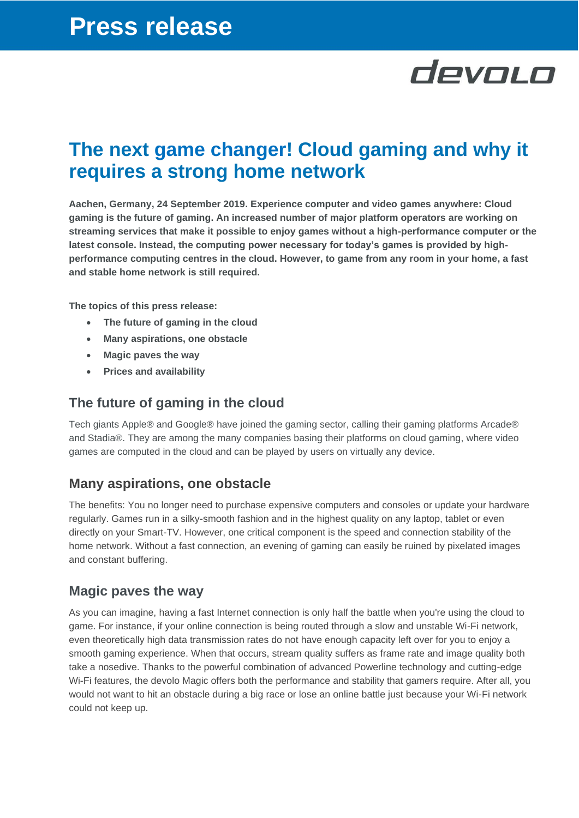# devolo

### **The next game changer! Cloud gaming and why it requires a strong home network**

**Aachen, Germany, 24 September 2019. Experience computer and video games anywhere: Cloud gaming is the future of gaming. An increased number of major platform operators are working on streaming services that make it possible to enjoy games without a high-performance computer or the latest console. Instead, the computing power necessary for today's games is provided by highperformance computing centres in the cloud. However, to game from any room in your home, a fast and stable home network is still required.** 

**The topics of this press release:**

- **The future of gaming in the cloud**
- **Many aspirations, one obstacle**
- **Magic paves the way**
- **Prices and availability**

### **The future of gaming in the cloud**

Tech giants Apple® and Google® have joined the gaming sector, calling their gaming platforms Arcade® and Stadia®. They are among the many companies basing their platforms on cloud gaming, where video games are computed in the cloud and can be played by users on virtually any device.

### **Many aspirations, one obstacle**

The benefits: You no longer need to purchase expensive computers and consoles or update your hardware regularly. Games run in a silky-smooth fashion and in the highest quality on any laptop, tablet or even directly on your Smart-TV. However, one critical component is the speed and connection stability of the home network. Without a fast connection, an evening of gaming can easily be ruined by pixelated images and constant buffering.

#### **Magic paves the way**

As you can imagine, having a fast Internet connection is only half the battle when you're using the cloud to game. For instance, if your online connection is being routed through a slow and unstable Wi-Fi network, even theoretically high data transmission rates do not have enough capacity left over for you to enjoy a smooth gaming experience. When that occurs, stream quality suffers as frame rate and image quality both take a nosedive. Thanks to the powerful combination of advanced Powerline technology and cutting-edge Wi-Fi features, the devolo Magic offers both the performance and stability that gamers require. After all, you would not want to hit an obstacle during a big race or lose an online battle just because your Wi-Fi network could not keep up.